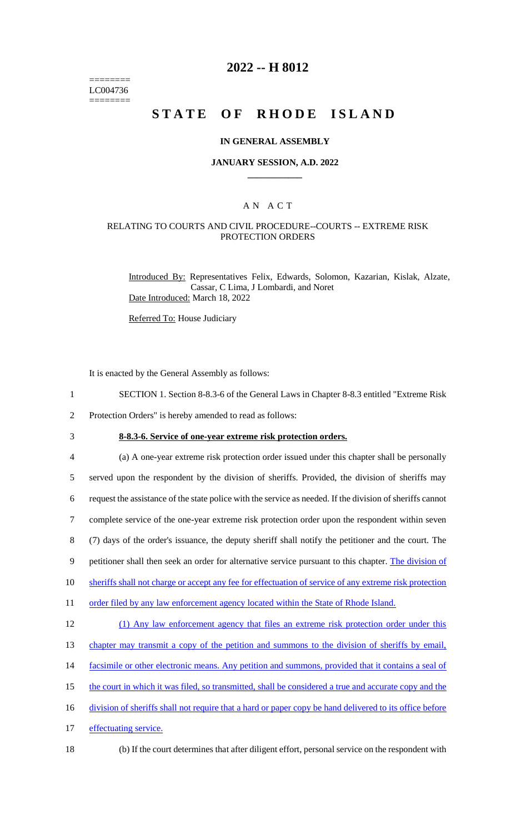======== LC004736 ========

## **2022 -- H 8012**

# **STATE OF RHODE ISLAND**

#### **IN GENERAL ASSEMBLY**

#### **JANUARY SESSION, A.D. 2022 \_\_\_\_\_\_\_\_\_\_\_\_**

## A N A C T

## RELATING TO COURTS AND CIVIL PROCEDURE--COURTS -- EXTREME RISK PROTECTION ORDERS

Introduced By: Representatives Felix, Edwards, Solomon, Kazarian, Kislak, Alzate, Cassar, C Lima, J Lombardi, and Noret Date Introduced: March 18, 2022

Referred To: House Judiciary

It is enacted by the General Assembly as follows:

- 1 SECTION 1. Section 8-8.3-6 of the General Laws in Chapter 8-8.3 entitled "Extreme Risk
- 2 Protection Orders" is hereby amended to read as follows:
- 

3 **8-8.3-6. Service of one-year extreme risk protection orders.**

4 (a) A one-year extreme risk protection order issued under this chapter shall be personally 5 served upon the respondent by the division of sheriffs. Provided, the division of sheriffs may 6 request the assistance of the state police with the service as needed. If the division of sheriffs cannot 7 complete service of the one-year extreme risk protection order upon the respondent within seven 8 (7) days of the order's issuance, the deputy sheriff shall notify the petitioner and the court. The 9 petitioner shall then seek an order for alternative service pursuant to this chapter. The division of 10 sheriffs shall not charge or accept any fee for effectuation of service of any extreme risk protection 11 order filed by any law enforcement agency located within the State of Rhode Island. 12 (1) Any law enforcement agency that files an extreme risk protection order under this 13 chapter may transmit a copy of the petition and summons to the division of sheriffs by email, 14 facsimile or other electronic means. Any petition and summons, provided that it contains a seal of 15 the court in which it was filed, so transmitted, shall be considered a true and accurate copy and the

- 16 division of sheriffs shall not require that a hard or paper copy be hand delivered to its office before
- 17 effectuating service.
- 
- 18 (b) If the court determines that after diligent effort, personal service on the respondent with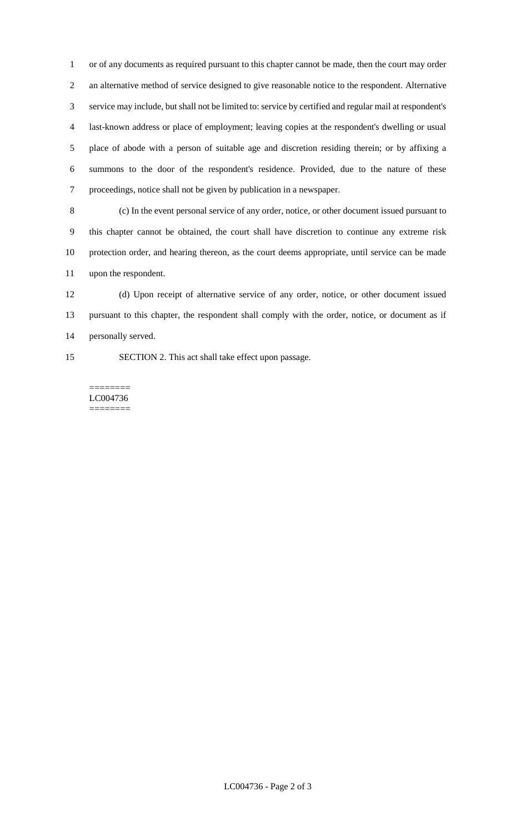or of any documents as required pursuant to this chapter cannot be made, then the court may order an alternative method of service designed to give reasonable notice to the respondent. Alternative service may include, but shall not be limited to: service by certified and regular mail at respondent's last-known address or place of employment; leaving copies at the respondent's dwelling or usual place of abode with a person of suitable age and discretion residing therein; or by affixing a summons to the door of the respondent's residence. Provided, due to the nature of these proceedings, notice shall not be given by publication in a newspaper.

 (c) In the event personal service of any order, notice, or other document issued pursuant to this chapter cannot be obtained, the court shall have discretion to continue any extreme risk protection order, and hearing thereon, as the court deems appropriate, until service can be made upon the respondent.

 (d) Upon receipt of alternative service of any order, notice, or other document issued pursuant to this chapter, the respondent shall comply with the order, notice, or document as if personally served.

SECTION 2. This act shall take effect upon passage.

======== LC004736 ========